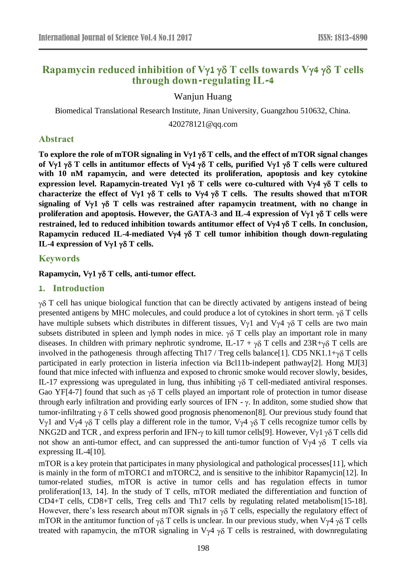# **Rapamycin reduced inhibition** of  $V\gamma$ **1**  $\gamma\delta$  **T** cells **towards**  $V\gamma$ **4**  $\gamma\delta$  **T** cells **through down-regulating IL-4**

Wanjun Huang

Biomedical Translational Research Institute, Jinan University, Guangzhou 510632, China.

420278121@qq.com

### **Abstract**

To explore the role of mTOR signaling in  $V\gamma1 \gamma\delta T$  cells, and the effect of mTOR signal changes of  $V\gamma$ **1**  $\gamma$  $\delta$  T cells in antitumor effects of  $V\gamma$ 4  $\gamma$  $\delta$  T cells, purified  $V\gamma$ **1**  $\gamma$  $\delta$  T cells were cultured **with 10 nM rapamycin, and were detected its proliferation, apoptosis and key cytokine expression level. Rapamycin-treated V1 T cells were co-cultured with V4 T cells to**  characterize the effect of V $\gamma$ 1  $\gamma$  $\delta$  T cells to V $\gamma$ 4  $\gamma$  $\delta$  T cells. The results showed that mTOR **signaling of V1 T cells was restrained after rapamycin treatment, with no change in proliferation and apoptosis. However, the GATA-3 and IL-4 expression of V1 T cells were restrained, led to reduced inhibition towards antitumor effect of Vy4**  $\gamma$  **T cells. In conclusion, Rapamycin reduced IL-4-mediated V** $\gamma$ **4**  $\gamma$  $\delta$  **T cell tumor inhibition though down-regulating IL-4 expression of V** $\gamma$ **1**  $\gamma$  $\delta$  **T cells.** 

### **Keywords**

#### **Rapamycin, V1 T cells, anti-tumor effect.**

### **1. Introduction**

 $\gamma\delta$  T cell has unique biological function that can be directly activated by antigens instead of being presented antigens by MHC molecules, and could produce a lot of cytokines in short term.  $\gamma \delta$  T cells have multiple subsets which distributes in different tissues,  $V_{\gamma}1$  and  $V_{\gamma}4 \gamma \delta T$  cells are two main subsets distributed in spleen and lymph nodes in mice.  $\gamma \delta$  T cells play an important role in many diseases. In children with primary nephrotic syndrome, IL-17 +  $\gamma\delta$  T cells and 23R+ $\gamma\delta$  T cells are involved in the pathogenesis through affecting Th17 / Treg cells balance[\[1\]](#page-4-0). CD5 NK1.1+ $\gamma\delta$  T cells participated in early protection in listeria infection via Bcl11b-indepent pathway[\[2\]](#page-4-1). Hong MJ[\[3\]](#page-4-2) found that mice infected with influenza and exposed to chronic smoke would recover slowly, besides, IL-17 expressiong was upregulated in lung, thus inhibiting  $\gamma \delta$  T cell-mediated antiviral responses. Gao YF[\[4-7\]](#page-4-3) found that such as  $\gamma \delta$  T cells played an important role of protection in tumor disease through early infiltration and providing early sources of IFN -  $\gamma$ . In additon, some studied show that tumor-infiltrating  $\gamma \delta T$  cells showed good prognosis phenomenon[\[8\]](#page-4-4). Our previous study found that V<sub>1</sub> and V<sub>1</sub><sup>4</sup>  $\gamma$ <sup>8</sup> T cells play a different role in the tumor, V<sub>1</sub><sup>4</sup>  $\gamma$ <sup>8</sup> T cells recognize tumor cells by NKG2D and TCR, and express perforin and IFN- $\gamma$  to kill tumor cells[\[9\]](#page-4-5). However,  $V_{\gamma}1 \gamma \delta$  T cells did not show an anti-tumor effect, and can suppressed the anti-tumor function of  $V\gamma4 \gamma\delta$  T cells via expressing IL-4[\[10\]](#page-4-6).

mTOR is a key protein that participates in many physiological and pathological processes[\[11\]](#page-4-7), which is mainly in the form of mTORC1 and mTORC2, and is sensitive to the inhibitor Rapamycin[\[12\]](#page-4-8). In tumor-related studies, mTOR is active in tumor cells and has regulation effects in tumor proliferation[\[13,](#page-4-9) [14\]](#page-4-10). In the study of T cells, mTOR mediated the differentiation and function of CD4+T cells, CD8+T cells, Treg cells and Th17 cells by regulating related metabolism[\[15-18\]](#page-4-11). However, there's less research about mTOR signals in  $\gamma\delta$  T cells, especially the regulatory effect of mTOR in the antitumor function of  $\gamma\delta$  T cells is unclear. In our previous study, when V $\gamma$ 4  $\gamma\delta$  T cells treated with rapamycin, the mTOR signaling in  $V_{\gamma}4 \gamma \delta$  T cells is restrained, with downregulating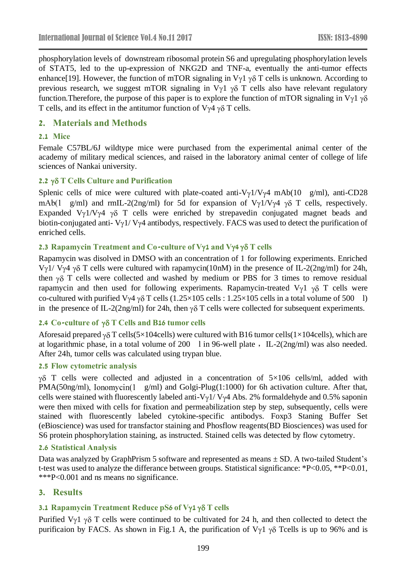phosphorylation levels of downstream ribosomal protein S6 and upregulating phosphorylation levels of STAT5, led to the up-expression of NKG2D and TNF-a, eventually the anti-tumor effects enhance[\[19\]](#page-4-12). However, the function of mTOR signaling in  $V_{\gamma}1 \gamma \delta T$  cells is unknown. According to previous research, we suggest mTOR signaling in  $V_{\gamma}1$   $\gamma\delta$  T cells also have relevant regulatory function. Therefore, the purpose of this paper is to explore the function of mTOR signaling in  $V_{\gamma}1_{\gamma\delta}$ T cells, and its effect in the antitumor function of  $V_{\gamma}4 \gamma \delta$  T cells.

# **2. Materials and Methods**

#### **2.1 Mice**

Female C57BL/6J wildtype mice were purchased from the experimental animal center of the academy of military medical sciences, and raised in the laboratory animal center of college of life sciences of Nankai university.

### **2.2 T Cells Culture and Purification**

Splenic cells of mice were cultured with plate-coated anti- $V\gamma1/V\gamma4$  mAb(10 g/ml), anti-CD28 mAb(1 g/ml) and rmIL-2(2ng/ml) for 5d for expansion of  $V_{\gamma}1/V_{\gamma}4 \gamma \delta$  T cells, respectively. Expanded  $V_{\gamma}1/V_{\gamma}4 \gamma \delta$  T cells were enriched by strepaved n conjugated magnet beads and biotin-conjugated anti-  $V\gamma$ 1/  $V\gamma$ 4 antibodys, respectively. FACS was used to detect the purification of enriched cells.

### **2.3 Rapamycin Treatment and Co-culture of V1 and V4 T cells**

Rapamycin was disolved in DMSO with an concentration of 1 for following experiments. Enriched V $\gamma$ 1/ V $\gamma$ 4  $\gamma$  $\delta$  T cells were cultured with rapamycin(10nM) in the presence of IL-2(2ng/ml) for 24h, then  $\gamma\delta$  T cells were collected and washed by medium or PBS for 3 times to remove residual rapamycin and then used for following experiments. Rapamycin-treated  $V_{\gamma}1$   $\gamma\delta$  T cells were co-cultured with purified V $\gamma$ 4  $\gamma$  $\delta$  T cells (1.25×105 cells : 1.25×105 cells in a total volume of 500 l) in the presence of IL-2(2ng/ml) for 24h, then  $\gamma \delta$  T cells were collected for subsequent experiments.

### **2.4 Co-culture of T Cells and B16 tumor cells**

Aforesaid prepared  $\gamma \delta$  T cells(5×104cells) were cultured with B16 tumor cells(1×104cells), which are at logarithmic phase, in a total volume of 200 l in 96-well plate , IL-2(2ng/ml) was also needed. After 24h, tumor cells was calculated using trypan blue.

#### **2.5 Flow cytometric analysis**

 $\gamma\delta$  T cells were collected and adjusted in a concentration of  $5\times106$  cells/ml, added with  $PMA(50ng/ml)$ , Ionomycin(1 g/ml) and Golgi-Plug(1:1000) for 6h activation culture. After that, cells were stained with fluorescently labeled anti-V $\gamma$ 1/ V $\gamma$ 4 Abs. 2% formaldehyde and 0.5% saponin were then mixed with cells for fixation and permeabilization step by step, subsequently, cells were stained with fluorescently labeled cytokine-specific antibodys. Foxp3 Staning Buffer Set (eBioscience) was used for transfactor staining and Phosflow reagents(BD Biosciences) was used for S6 protein phosphorylation staining, as instructed. Stained cells was detected by flow cytometry.

#### **2.6 Statistical Analysis**

Data was analyzed by GraphPrism 5 software and represented as means  $\pm$  SD. A two-tailed Student's t-test was used to analyze the differance between groups. Statistical significance: \*P<0.05, \*\*P<0.01, \*\*\*P<0.001 and ns means no significance.

# **3. Results**

### **3.1 Rapamycin Treatment Reduce pS6 of V1 T cells**

Purified  $V_{\gamma}1$   $\gamma\delta$  T cells were continued to be cultivated for 24 h, and then collected to detect the purificaion by FACS. As shown in Fig.1 A, the purification of  $V_{\gamma}1$   $\gamma\delta$  Tcells is up to 96% and is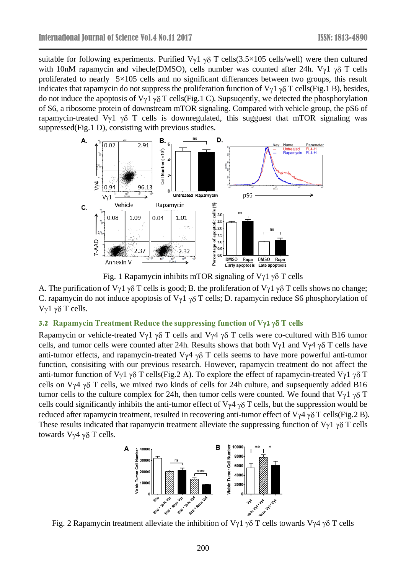suitable for following experiments. Purified  $V_{\gamma}1 \gamma \delta T$  cells(3.5×105 cells/well) were then cultured with 10nM rapamycin and vihecle(DMSO), cells number was counted after 24h. V $\gamma$ 1  $\gamma$  $\delta$  T cells proliferated to nearly 5×105 cells and no significant differances between two groups, this result indicates that rapamycin do not suppress the proliferation function of  $V_{\gamma}1 \gamma \delta T$  cells(Fig.1 B), besides, do not induce the apoptosis of  $V_{\gamma}1 \gamma \delta T$  cells(Fig.1 C). Supsugently, we detected the phosphorylation of S6, a ribosome protein of downstream mTOR signaling. Compared with vehicle group, the pS6 of rapamycin-treated  $V_{\gamma}1$   $\gamma\delta$  T cells is downregulated, this sugguest that mTOR signaling was suppressed(Fig.1 D), consisting with previous studies.



Fig. 1 Rapamycin inhibits mTOR signaling of  $V\gamma$ 1  $\gamma\delta$  T cells

A. The purification of  $V_{\gamma}1 \gamma \delta T$  cells is good; B. the proliferation of  $V_{\gamma}1 \gamma \delta T$  cells shows no change; C. rapamycin do not induce apoptosis of  $V_{\gamma}1 \gamma \delta T$  cells; D. rapamycin reduce S6 phosphorylation of Vγ1 γδ T cells.

# **3.2 Rapamycin Treatment Reduce the suppressing function of V1 T cells**

Rapamycin or vehicle-treated V $\gamma$ 1  $\gamma$  $\delta$  T cells and V $\gamma$ 4  $\gamma$  $\delta$  T cells were co-cultured with B16 tumor cells, and tumor cells were counted after 24h. Results shows that both V $\gamma$ 1 and V $\gamma$ 4  $\gamma$  $\delta$  T cells have anti-tumor effects, and rapamycin-treated  $V_{\gamma}4 \gamma \delta$  T cells seems to have more powerful anti-tumor function, consisiting with our previous research. However, rapamycin treatment do not affect the anti-tumor function of V $\gamma$ 1  $\gamma$  $\delta$  T cells(Fig.2 A). To explore the effect of rapamycin-treated V $\gamma$ 1  $\gamma$  $\delta$  T cells on V $\gamma$ 4  $\gamma$  $\delta$  T cells, we mixed two kinds of cells for 24h culture, and supsequently added B16 tumor cells to the culture complex for 24h, then tumor cells were counted. We found that  $V_{\gamma}1_{\gamma}\delta T$ cells could significantly inhibits the anti-tumor effect of  $V_{\gamma}4 \gamma \delta T$  cells, but the suppression would be reduced after rapamycin treatment, resulted in recovering anti-tumor effect of  $V\gamma4 \gamma \delta T$  cells(Fig.2 B). These results indicated that rapamycin treatment alleviate the suppressing function of  $V_{\gamma}1 \gamma \delta T$  cells towards  $V\gamma4 \gamma\delta$  T cells.

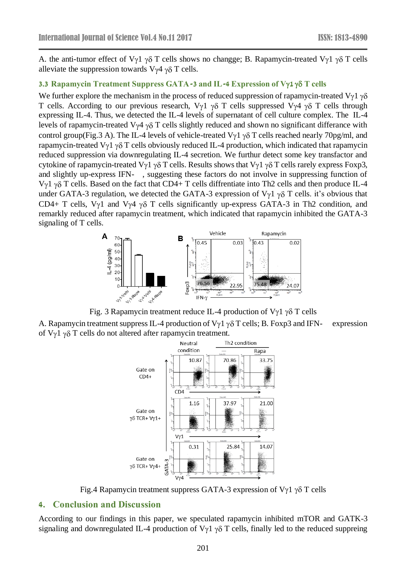A. the anti-tumor effect of V $\gamma$ 1  $\gamma$  $\delta$  T cells shows no changge; B. Rapamycin-treated V $\gamma$ 1  $\gamma$  $\delta$  T cells alleviate the suppression towards  $V\gamma4 \gamma\delta$  T cells.

## **3.3 Rapamycin Treatment Suppress GATA-3 and IL-4 Expression of V1 T cells**

We further explore the mechanism in the process of reduced suppression of rapamycin-treated V $\gamma$ 1  $\gamma\delta$ T cells. According to our previous research,  $V_{\gamma}1 \gamma \delta$  T cells suppressed  $V_{\gamma}4 \gamma \delta$  T cells through expressing IL-4. Thus, we detected the IL-4 levels of supernatant of cell culture complex. The IL-4 levels of rapamycin-treated  $V_{\gamma}4 \gamma \delta T$  cells slightly reduced and shown no significant differance with control group(Fig.3 A). The IL-4 levels of vehicle-treated V $\gamma$ 1  $\gamma$  $\delta$  T cells reached nearly 70pg/ml, and rapamycin-treated V $\gamma$ 1  $\gamma$  $\delta$  T cells obviously reduced IL-4 production, which indicated that rapamycin reduced suppression via downregulating IL-4 secretion. We furthur detect some key transfactor and cytokine of rapamycin-treated V $\gamma$ 1  $\gamma$  $\delta$  T cells. Results shows that V $\gamma$ 1  $\gamma$  $\delta$  T cells rarely express Foxp3, and slightly up-express IFN- , suggesting these factors do not involve in suppressing function of  $V_{\gamma}$ 1  $\gamma$  $\delta$  T cells. Based on the fact that CD4+ T cells diffrentiate into Th2 cells and then produce IL-4 under GATA-3 regulation, we detected the GATA-3 expression of  $V_{\gamma}1 \gamma \delta T$  cells. it's obvious that CD4+ T cells, V $\gamma$ 1 and V $\gamma$ 4  $\gamma$  $\delta$  T cells significantly up-express GATA-3 in Th2 condition, and remarkly reduced after rapamycin treatment, which indicated that rapamycin inhibited the GATA-3 signaling of T cells.



Fig. 3 Rapamycin treatment reduce IL-4 production of V $\gamma$ 1  $\gamma$  $\delta$  T cells

A. Rapamycin treatment suppress IL-4 production of  $V_{\gamma}1 \gamma \delta T$  cells; B. Foxp3 and IFN- expression of  $V_{\gamma}$ 1  $\gamma$  $\delta$  T cells do not altered after rapamycin treatment.



Fig.4 Rapamycin treatment suppress GATA-3 expression of  $V\gamma$ 1  $\gamma\delta$  T cells

# **4. Conclusion and Discussion**

According to our findings in this paper, we speculated rapamycin inhibited mTOR and GATK-3 signaling and downregulated IL-4 production of  $V_{\gamma}$ 1  $\gamma$  $\delta$  T cells, finally led to the reduced suppreing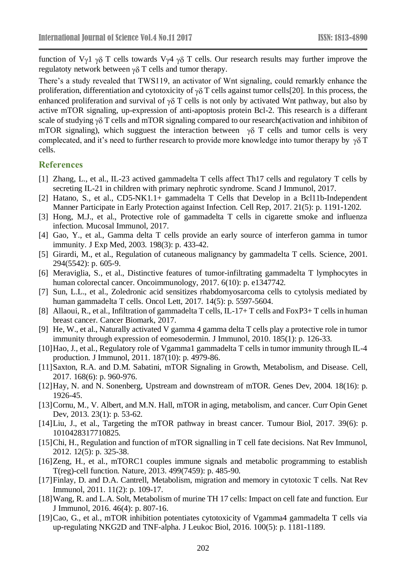function of V<sub>Y</sub>1  $\gamma\delta$  T cells towards V<sub>Y</sub>4  $\gamma\delta$  T cells. Our research results may further improve the regulatoty network between  $\gamma \delta$  T cells and tumor therapy.

There's a study revealed that TWS119, an activator of Wnt signaling, could remarkly enhance the proliferation, differentiation and cytotoxicity of  $\gamma\delta$  T cells against tumor cells[\[20\]](#page-5-0). In this process, the enhanced proliferation and survival of  $\gamma\delta$  T cells is not only by activated Wnt pathway, but also by active mTOR signaling, up-expression of anti-apoptosis protein Bcl-2. This research is a differant scale of studying  $\gamma\delta$  T cells and mTOR signaling compared to our research(activation and inhibiton of mTOR signaling), which sugguest the interaction between  $\gamma\delta$  T cells and tumor cells is very complecated, and it's need to further research to provide more knowledge into tumor therapy by  $\gamma \delta T$ cells.

## **References**

- <span id="page-4-0"></span>[1] Zhang, L., et al., IL-23 actived gammadelta T cells affect Th17 cells and regulatory T cells by secreting IL-21 in children with primary nephrotic syndrome. Scand J Immunol, 2017.
- <span id="page-4-1"></span>[2] Hatano, S., et al., CD5-NK1.1+ gammadelta T Cells that Develop in a Bcl11b-Independent Manner Participate in Early Protection against Infection. Cell Rep, 2017. 21(5): p. 1191-1202.
- <span id="page-4-2"></span>[3] Hong, M.J., et al., Protective role of gammadelta T cells in cigarette smoke and influenza infection. Mucosal Immunol, 2017.
- <span id="page-4-3"></span>[4] Gao, Y., et al., Gamma delta T cells provide an early source of interferon gamma in tumor immunity. J Exp Med, 2003. 198(3): p. 433-42.
- [5] Girardi, M., et al., Regulation of cutaneous malignancy by gammadelta T cells. Science, 2001. 294(5542): p. 605-9.
- [6] Meraviglia, S., et al., Distinctive features of tumor-infiltrating gammadelta T lymphocytes in human colorectal cancer. Oncoimmunology, 2017. 6(10): p. e1347742.
- [7] Sun, L.L., et al., Zoledronic acid sensitizes rhabdomyosarcoma cells to cytolysis mediated by human gammadelta T cells. Oncol Lett, 2017. 14(5): p. 5597-5604.
- <span id="page-4-4"></span>[8] Allaoui, R., et al., Infiltration of gammadelta T cells, IL-17+ T cells and FoxP3+ T cells in human breast cancer. Cancer Biomark, 2017.
- <span id="page-4-5"></span>[9] He, W., et al., Naturally activated V gamma 4 gamma delta T cells play a protective role in tumor immunity through expression of eomesodermin. J Immunol, 2010. 185(1): p. 126-33.
- <span id="page-4-6"></span>[10]Hao, J., et al., Regulatory role of Vgamma1 gammadelta T cells in tumor immunity through IL-4 production. J Immunol, 2011. 187(10): p. 4979-86.
- <span id="page-4-7"></span>[11]Saxton, R.A. and D.M. Sabatini, mTOR Signaling in Growth, Metabolism, and Disease. Cell, 2017. 168(6): p. 960-976.
- <span id="page-4-8"></span>[12] Hay, N. and N. Sonenberg, Upstream and downstream of mTOR. Genes Dev, 2004. 18(16): p. 1926-45.
- <span id="page-4-9"></span>[13]Cornu, M., V. Albert, and M.N. Hall, mTOR in aging, metabolism, and cancer. Curr Opin Genet Dev, 2013. 23(1): p. 53-62.
- <span id="page-4-10"></span>[14]Liu, J., et al., Targeting the mTOR pathway in breast cancer. Tumour Biol, 2017. 39(6): p. 1010428317710825.
- <span id="page-4-11"></span>[15]Chi, H., Regulation and function of mTOR signalling in T cell fate decisions. Nat Rev Immunol, 2012. 12(5): p. 325-38.
- [16]Zeng, H., et al., mTORC1 couples immune signals and metabolic programming to establish T(reg)-cell function. Nature, 2013. 499(7459): p. 485-90.
- [17]Finlay, D. and D.A. Cantrell, Metabolism, migration and memory in cytotoxic T cells. Nat Rev Immunol, 2011. 11(2): p. 109-17.
- [18]Wang, R. and L.A. Solt, Metabolism of murine TH 17 cells: Impact on cell fate and function. Eur J Immunol, 2016. 46(4): p. 807-16.
- <span id="page-4-12"></span>[19]Cao, G., et al., mTOR inhibition potentiates cytotoxicity of Vgamma4 gammadelta T cells via up-regulating NKG2D and TNF-alpha. J Leukoc Biol, 2016. 100(5): p. 1181-1189.